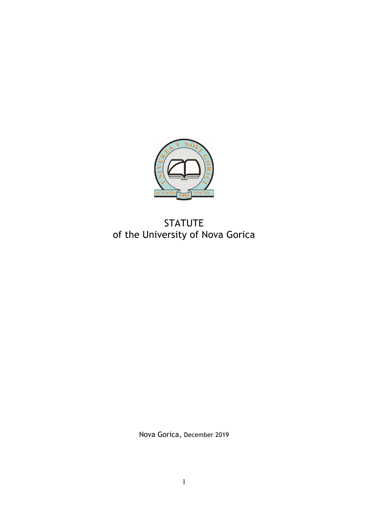

# STATUTE of the University of Nova Gorica

Nova Gorica, December 2019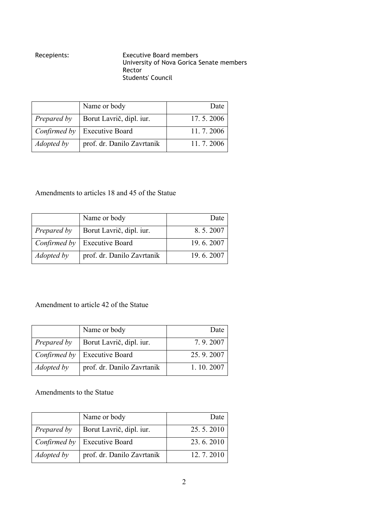# Recepients: Executive Board members University of Nova Gorica Senate members Rector Students' Council

|                   | Name or body                          | Date      |
|-------------------|---------------------------------------|-----------|
| Prepared by       | Borut Lavrič, dipl. iur.              | 17.5.2006 |
|                   | <i>Confirmed by</i>   Executive Board | 11.7.2006 |
| <i>Adopted by</i> | prof. dr. Danilo Zavrtanik            | 11.7.2006 |

# Amendments to articles 18 and 45 of the Statue

|                   | Name or body                          | Date      |
|-------------------|---------------------------------------|-----------|
| Prepared by       | Borut Lavrič, dipl. iur.              | 8.5.2007  |
|                   | <i>Confirmed by</i>   Executive Board | 19.6.2007 |
| <i>Adopted by</i> | prof. dr. Danilo Zavrtanik            | 19.6.2007 |

# Amendment to article 42 of the Statue

|             | Name or body                          | Date      |
|-------------|---------------------------------------|-----------|
| Prepared by | Borut Lavrič, dipl. iur.              | 7.9.2007  |
|             | <i>Confirmed by</i>   Executive Board | 25.9.2007 |
| Adopted by  | prof. dr. Danilo Zavrtanik            | 1.10.2007 |

Amendments to the Statue

|                   | Name or body               | Date      |
|-------------------|----------------------------|-----------|
| Prepared by       | Borut Lavrič, dipl. iur.   | 25.5.2010 |
| Confirmed by      | <b>Executive Board</b>     | 23.6.2010 |
| <i>Adopted by</i> | prof. dr. Danilo Zavrtanik | 12.7.2010 |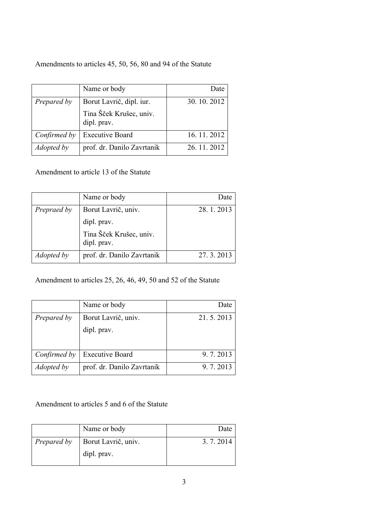# Amendments to articles 45, 50, 56, 80 and 94 of the Statute

|                   | Name or body                                                       | Date       |
|-------------------|--------------------------------------------------------------------|------------|
| Prepared by       | Borut Lavrič, dipl. iur.<br>Tina Šček Krušec, univ.<br>dipl. prav. | 30.10.2012 |
| Confirmed by      | <b>Executive Board</b>                                             | 16.11.2012 |
| <i>Adopted by</i> | prof. dr. Danilo Zavrtanik                                         | 26.11.2012 |

Amendment to article 13 of the Statute

|                   | Name or body                           | Date      |
|-------------------|----------------------------------------|-----------|
| Prepraed by       | Borut Lavrič, univ.                    | 28.1.2013 |
|                   | dipl. prav.                            |           |
|                   | Tina Šček Krušec, univ.<br>dipl. prav. |           |
| <i>Adopted by</i> | prof. dr. Danilo Zavrtanik             | 27.3.2013 |

Amendment to articles 25, 26, 46, 49, 50 and 52 of the Statute

|                   | Name or body               | Date      |
|-------------------|----------------------------|-----------|
| Prepared by       | Borut Lavrič, univ.        | 21.5.2013 |
|                   | dipl. prav.                |           |
|                   |                            |           |
| Confirmed by      | <b>Executive Board</b>     | 9.7.2013  |
| <i>Adopted by</i> | prof. dr. Danilo Zavrtanik | 9.7.2013  |

Amendment to articles 5 and 6 of the Statute

|             | Name or body        | Date     |
|-------------|---------------------|----------|
| Prepared by | Borut Lavrič, univ. | 3.7.2014 |
|             | dipl. prav.         |          |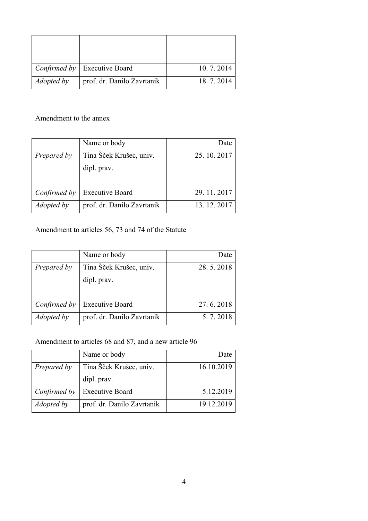|                   | <i>Confirmed by</i>   Executive Board | 10.7.2014 |
|-------------------|---------------------------------------|-----------|
| <i>Adopted by</i> | prof. dr. Danilo Zavrtanik            | 18.7.2014 |

# Amendment to the annex

|              | Name or body               | Date       |
|--------------|----------------------------|------------|
| Prepared by  | Tina Šček Krušec, univ.    | 25.10.2017 |
|              | dipl. prav.                |            |
|              |                            |            |
| Confirmed by | <b>Executive Board</b>     | 29.11.2017 |
| Adopted by   | prof. dr. Danilo Zavrtanik | 13.12.2017 |

# Amendment to articles 56, 73 and 74 of the Statute

|              | Name or body               | Date      |
|--------------|----------------------------|-----------|
| Prepared by  | Tina Šček Krušec, univ.    | 28.5.2018 |
|              | dipl. prav.                |           |
|              |                            |           |
| Confirmed by | <b>Executive Board</b>     | 27.6.2018 |
| Adopted by   | prof. dr. Danilo Zavrtanik | 5.7.2018  |

# Amendment to articles 68 and 87, and a new article 96

|                   | Name or body               | Date       |
|-------------------|----------------------------|------------|
| Prepared by       | Tina Šček Krušec, univ.    | 16.10.2019 |
|                   | dipl. prav.                |            |
| Confirmed by      | <b>Executive Board</b>     | 5.12.2019  |
| <i>Adopted by</i> | prof. dr. Danilo Zavrtanik | 19.12.2019 |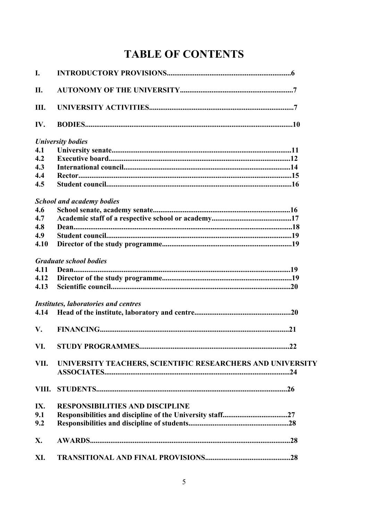# **TABLE OF CONTENTS**

| I.   |                                                            |    |
|------|------------------------------------------------------------|----|
| П.   |                                                            |    |
| Ш.   |                                                            |    |
| IV.  |                                                            |    |
|      | <b>University bodies</b>                                   |    |
| 4.1  |                                                            |    |
| 4.2  |                                                            |    |
| 4.3  |                                                            |    |
| 4.4  |                                                            |    |
| 4.5  |                                                            |    |
|      | <b>School and academy bodies</b>                           |    |
| 4.6  |                                                            |    |
| 4.7  |                                                            |    |
| 4.8  |                                                            |    |
| 4.9  |                                                            |    |
| 4.10 |                                                            |    |
|      | <b>Graduate school bodies</b>                              |    |
| 4.11 |                                                            |    |
| 4.12 |                                                            |    |
| 4.13 |                                                            |    |
|      | <b>Institutes, laboratories and centres</b>                |    |
| 4.14 |                                                            |    |
| V.   |                                                            |    |
|      |                                                            | 22 |
| VII. | UNIVERSITY TEACHERS, SCIENTIFIC RESEARCHERS AND UNIVERSITY |    |
|      |                                                            |    |
| IX.  | <b>RESPONSIBILITIES AND DISCIPLINE</b>                     |    |
| 9.1  |                                                            |    |
| 9.2  |                                                            |    |
| X.   |                                                            |    |
| XI.  |                                                            |    |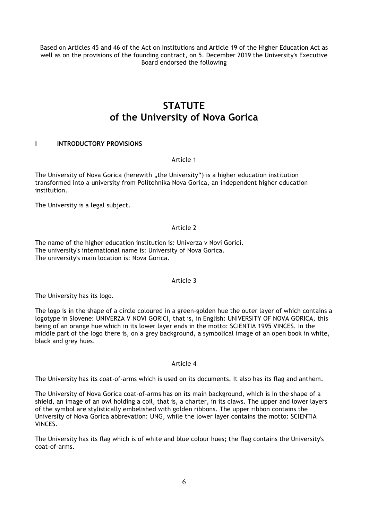Based on Articles 45 and 46 of the Act on Institutions and Article 19 of the Higher Education Act as well as on the provisions of the founding contract, on 5. December 2019 the University's Executive Board endorsed the following

# **STATUTE of the University of Nova Gorica**

# **I INTRODUCTORY PROVISIONS**

# Article 1

The University of Nova Gorica (herewith "the University") is a higher education institution transformed into a university from Politehnika Nova Gorica, an independent higher education institution.

The University is a legal subject.

Article 2

The name of the higher education institution is: Univerza v Novi Gorici. The university's international name is: University of Nova Gorica. The university's main location is: Nova Gorica.

# Article 3

The University has its logo.

The logo is in the shape of a circle coloured in a green-golden hue the outer layer of which contains a logotype in Slovene: UNIVERZA V NOVI GORICI, that is, in English: UNIVERSITY OF NOVA GORICA, this being of an orange hue which in its lower layer ends in the motto: SCIENTIA 1995 VINCES. In the middle part of the logo there is, on a grey background, a symbolical image of an open book in white, black and grey hues.

# Article 4

The University has its coat-of-arms which is used on its documents. It also has its flag and anthem.

The University of Nova Gorica coat-of-arms has on its main background, which is in the shape of a shield, an image of an owl holding a coil, that is, a charter, in its claws. The upper and lower layers of the symbol are stylistically embelished with golden ribbons. The upper ribbon contains the University of Nova Gorica abbrevation: UNG, while the lower layer contains the motto: SCIENTIA VINCES.

The University has its flag which is of white and blue colour hues; the flag contains the University's coat-of-arms.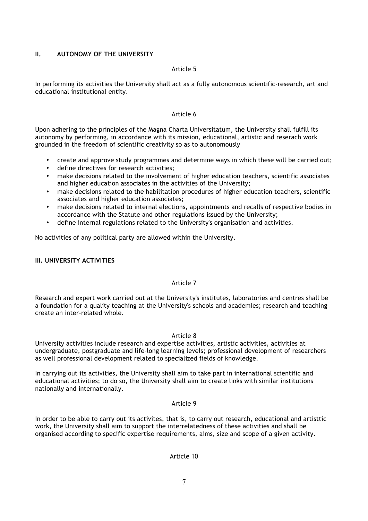# **II. AUTONOMY OF THE UNIVERSITY**

### Article 5

In performing its activities the University shall act as a fully autonomous scientific-research, art and educational institutional entity.

#### Article 6

Upon adhering to the principles of the Magna Charta Universitatum, the University shall fulfill its autonomy by performing, in accordance with its mission, educational, artistic and reserach work grounded in the freedom of scientific creativity so as to autonomously

- create and approve study programmes and determine ways in which these will be carried out;
- define directives for research activities;
- make decisions related to the involvement of higher education teachers, scientific associates and higher education associates in the activities of the University;
- make decisions related to the habilitation procedures of higher education teachers, scientific associates and higher education associates;
- make decisions related to internal elections, appointments and recalls of respective bodies in accordance with the Statute and other regulations issued by the University;
- define internal regulations related to the University's organisation and activities.

No activities of any political party are allowed within the University.

# **III. UNIVERSITY ACTIVITIES**

#### Article 7

Research and expert work carried out at the University's institutes, laboratories and centres shall be a foundation for a quality teaching at the University's schools and academies; research and teaching create an inter-related whole.

#### Article 8

University activities include research and expertise activities, artistic activities, activities at undergraduate, postgraduate and life-long learning levels; professional development of researchers as well professional development related to specialized fields of knowledge.

In carrying out its activities, the University shall aim to take part in international scientific and educational activities; to do so, the University shall aim to create links with similar institutions nationally and internationally.

#### Article 9

In order to be able to carry out its activites, that is, to carry out research, educational and artisttic work, the University shall aim to support the interrelatedness of these activities and shall be organised according to specific expertise requirements, aims, size and scope of a given activity.

# Article 10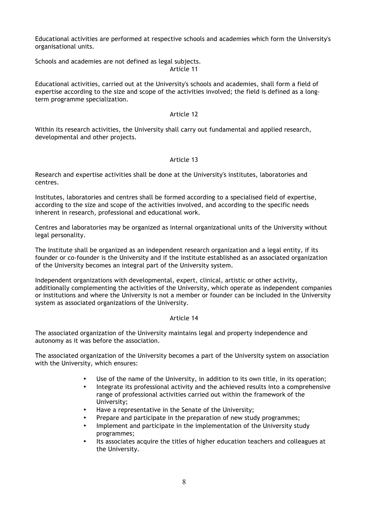Educational activities are performed at respective schools and academies which form the University's organisational units.

Schools and academies are not defined as legal subjects. Article 11

Educational activities, carried out at the University's schools and academies, shall form a field of expertise according to the size and scope of the activities involved; the field is defined as a longterm programme specialization.

# Article 12

Within its research activities, the University shall carry out fundamental and applied research, developmental and other projects.

# Article 13

Research and expertise activities shall be done at the University's institutes, laboratories and centres.

Institutes, laboratories and centres shall be formed according to a specialised field of expertise, according to the size and scope of the activities involved, and according to the specific needs inherent in research, professional and educational work.

Centres and laboratories may be organized as internal organizational units of the University without legal personality.

The Institute shall be organized as an independent research organization and a legal entity, if its founder or co-founder is the University and if the institute established as an associated organization of the University becomes an integral part of the University system.

Independent organizations with developmental, expert, clinical, artistic or other activity, additionally complementing the activities of the University, which operate as independent companies or institutions and where the University is not a member or founder can be included in the University system as associated organizations of the University.

# Article 14

The associated organization of the University maintains legal and property independence and autonomy as it was before the association.

The associated organization of the University becomes a part of the University system on association with the University, which ensures:

- Use of the name of the University, in addition to its own title, in its operation;
- Integrate its professional activity and the achieved results into a comprehensive range of professional activities carried out within the framework of the University;
- Have a representative in the Senate of the University;
- Prepare and participate in the preparation of new study programmes;
- Implement and participate in the implementation of the University study programmes;
- Its associates acquire the titles of higher education teachers and colleagues at the University.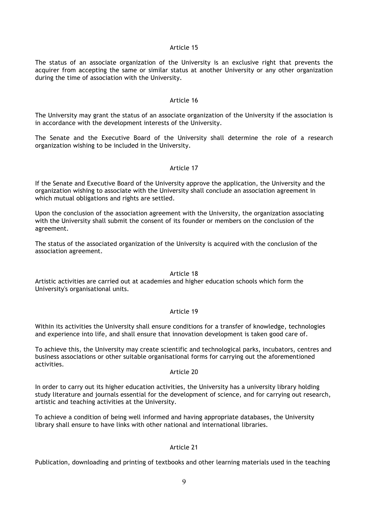#### Article 15

The status of an associate organization of the University is an exclusive right that prevents the acquirer from accepting the same or similar status at another University or any other organization during the time of association with the University.

#### Article 16

The University may grant the status of an associate organization of the University if the association is in accordance with the development interests of the University.

The Senate and the Executive Board of the University shall determine the role of a research organization wishing to be included in the University.

#### Article 17

If the Senate and Executive Board of the University approve the application, the University and the organization wishing to associate with the University shall conclude an association agreement in which mutual obligations and rights are settled.

Upon the conclusion of the association agreement with the University, the organization associating with the University shall submit the consent of its founder or members on the conclusion of the agreement.

The status of the associated organization of the University is acquired with the conclusion of the association agreement.

### Article 18

Artistic activities are carried out at academies and higher education schools which form the University's organisational units.

# Article 19

Within its activities the University shall ensure conditions for a transfer of knowledge, technologies and experience into life, and shall ensure that innovation development is taken good care of.

To achieve this, the University may create scientific and technological parks, incubators, centres and business associations or other suitable organisational forms for carrying out the aforementioned activities.

#### Article 20

In order to carry out its higher education activities, the University has a university library holding study literature and journals essential for the development of science, and for carrying out research, artistic and teaching activities at the University.

To achieve a condition of being well informed and having appropriate databases, the University library shall ensure to have links with other national and international libraries.

# Article 21

Publication, downloading and printing of textbooks and other learning materials used in the teaching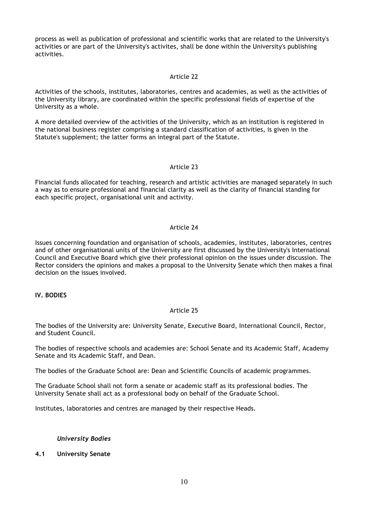process as well as publication of professional and scientific works that are related to the University's activities or are part of the University's activites, shall be done within the University's publishing activities.

#### Article 22

Activities of the schools, institutes, laboratories, centres and academies, as well as the activities of the University library, are coordinated within the specific professional fields of expertise of the University as a whole.

A more detailed overview of the activities of the University, which as an institution is registered in the national business register comprising a standard classification of activities, is given in the Statute's supplement; the latter forms an integral part of the Statute.

#### Article 23

Financial funds allocated for teaching, research and artistic activities are managed separately in such a way as to ensure professional and financial clarity as well as the clarity of financial standing for each specific project, organisational unit and activity.

# Article 24

Issues concerning foundation and organisation of schools, academies, institutes, laboratories, centres and of other organisational units of the University are first discussed by the University's International Council and Executive Board which give their professional opinion on the issues under discussion. The Rector considers the opinions and makes a proposal to the University Senate which then makes a final decision on the issues involved.

# **IV. BODIES**

# Article 25

The bodies of the University are: University Senate, Executive Board, International Council, Rector, and Student Council.

The bodies of respective schools and academies are: School Senate and its Academic Staff, Academy Senate and its Academic Staff, and Dean.

The bodies of the Graduate School are: Dean and Scientific Councils of academic programmes.

The Graduate School shall not form a senate or academic staff as its professional bodies. The University Senate shall act as a professional body on behalf of the Graduate School.

Institutes, laboratories and centres are managed by their respective Heads.

# *University Bodies*

# **4.1 University Senate**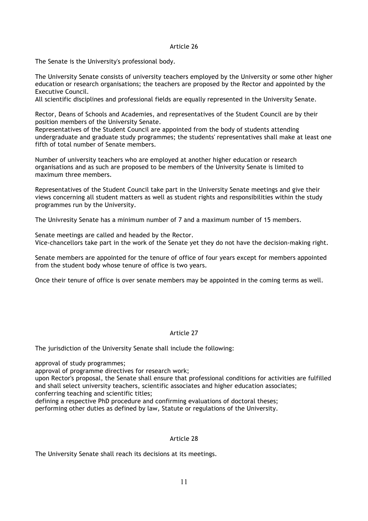#### Article 26

The Senate is the University's professional body.

The University Senate consists of university teachers employed by the University or some other higher education or research organisations; the teachers are proposed by the Rector and appointed by the Executive Council.

All scientific disciplines and professional fields are equally represented in the University Senate.

Rector, Deans of Schools and Academies, and representatives of the Student Council are by their position members of the University Senate.

Representatives of the Student Council are appointed from the body of students attending undergraduate and graduate study programmes; the students' representatives shall make at least one fifth of total number of Senate members.

Number of university teachers who are employed at another higher education or research organisations and as such are proposed to be members of the University Senate is limited to maximum three members.

Representatives of the Student Council take part in the University Senate meetings and give their views concerning all student matters as well as student rights and responsibilities within the study programmes run by the University.

The Univresity Senate has a minimum number of 7 and a maximum number of 15 members.

Senate meetings are called and headed by the Rector. Vice-chancellors take part in the work of the Senate yet they do not have the decision-making right.

Senate members are appointed for the tenure of office of four years except for members appointed from the student body whose tenure of office is two years.

Once their tenure of office is over senate members may be appointed in the coming terms as well.

# Article 27

The jurisdiction of the University Senate shall include the following:

approval of study programmes;

approval of programme directives for research work;

upon Rector's proposal, the Senate shall ensure that professional conditions for activities are fulfilled and shall select university teachers, scientific associates and higher education associates; conferring teaching and scientific titles;

defining a respective PhD procedure and confirming evaluations of doctoral theses;

performing other duties as defined by law, Statute or regulations of the University.

# Article 28

The University Senate shall reach its decisions at its meetings.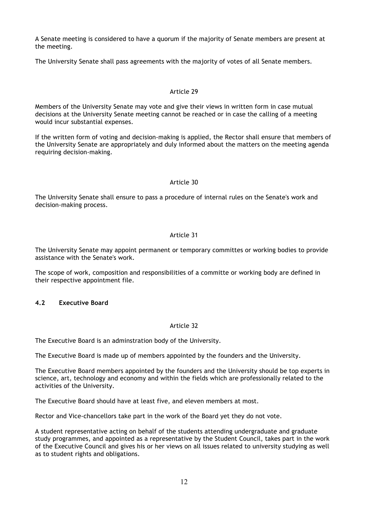A Senate meeting is considered to have a quorum if the majority of Senate members are present at the meeting.

The University Senate shall pass agreements with the majority of votes of all Senate members.

# Article 29

Members of the University Senate may vote and give their views in written form in case mutual decisions at the University Senate meeting cannot be reached or in case the calling of a meeting would incur substantial expenses.

If the written form of voting and decision-making is applied, the Rector shall ensure that members of the University Senate are appropriately and duly informed about the matters on the meeting agenda requiring decision-making.

# Article 30

The University Senate shall ensure to pass a procedure of internal rules on the Senate's work and decision-making process.

# Article 31

The University Senate may appoint permanent or temporary committes or working bodies to provide assistance with the Senate's work.

The scope of work, composition and responsibilities of a committe or working body are defined in their respective appointment file.

# **4.2 Executive Board**

# Article 32

The Executive Board is an adminstration body of the University.

The Executive Board is made up of members appointed by the founders and the University.

The Executive Board members appointed by the founders and the University should be top experts in science, art, technology and economy and within the fields which are professionally related to the activities of the University.

The Executive Board should have at least five, and eleven members at most.

Rector and Vice-chancellors take part in the work of the Board yet they do not vote.

A student representative acting on behalf of the students attending undergraduate and graduate study programmes, and appointed as a representative by the Student Council, takes part in the work of the Executive Council and gives his or her views on all issues related to university studying as well as to student rights and obligations.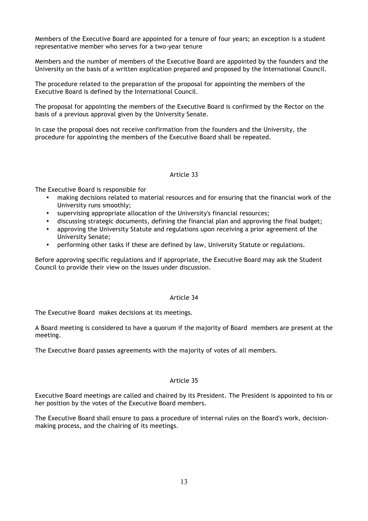Members of the Executive Board are appointed for a tenure of four years; an exception is a student representative member who serves for a two-year tenure

Members and the number of members of the Executive Board are appointed by the founders and the University on the basis of a written explication prepared and proposed by the International Council.

The procedure related to the preparation of the proposal for appointing the members of the Executive Board is defined by the International Council.

The proposal for appointing the members of the Executive Board is confirmed by the Rector on the basis of a previous approval given by the University Senate.

In case the proposal does not receive confirmation from the founders and the University, the procedure for appointing the members of the Executive Board shall be repeated.

# Article 33

The Executive Board is responsible for

- making decisions related to material resources and for ensuring that the financial work of the University runs smoothly;
- supervising appropriate allocation of the University's financial resources;
- discussing strategic documents, defining the financial plan and approving the final budget;
- approving the University Statute and regulations upon receiving a prior agreement of the University Senate;
- performing other tasks if these are defined by law, University Statute or regulations.

Before approving specific regulations and if appropriate, the Executive Board may ask the Student Council to provide their view on the issues under discussion.

# Article 34

The Executive Board makes decisions at its meetings.

A Board meeting is considered to have a quorum if the majority of Board members are present at the meeting.

The Executive Board passes agreements with the majority of votes of all members.

# Article 35

Executive Board meetings are called and chaired by its President. The President is appointed to his or her position by the votes of the Executive Board members.

The Executive Board shall ensure to pass a procedure of internal rules on the Board's work, decisionmaking process, and the chairing of its meetings.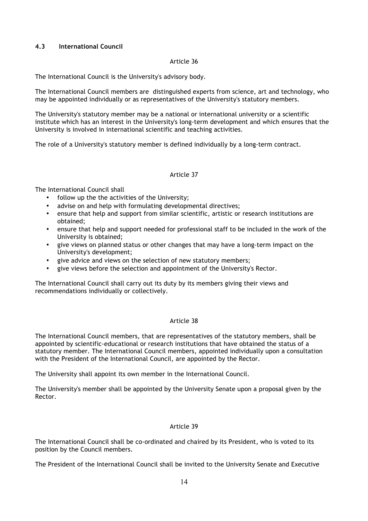# **4.3 International Council**

# Article 36

The International Council is the University's advisory body.

The International Council members are distinguished experts from science, art and technology, who may be appointed individually or as representatives of the University's statutory members.

The University's statutory member may be a national or international university or a scientific institute which has an interest in the University's long-term development and which ensures that the University is involved in international scientific and teaching activities.

The role of a University's statutory member is defined individually by a long-term contract.

# Article 37

The International Council shall

- follow up the the activities of the University;
- advise on and help with formulating developmental directives;
- ensure that help and support from similar scientific, artistic or research institutions are obtained;
- ensure that help and support needed for professional staff to be included in the work of the University is obtained;
- give views on planned status or other changes that may have a long-term impact on the University's development;
- give advice and views on the selection of new statutory members;
- give views before the selection and appointment of the University's Rector.

The International Council shall carry out its duty by its members giving their views and recommendations individually or collectively.

# Article 38

The International Council members, that are representatives of the statutory members, shall be appointed by scientific-educational or research institutions that have obtained the status of a statutory member. The International Council members, appointed individually upon a consultation with the President of the International Council, are appointed by the Rector.

The University shall appoint its own member in the International Council.

The University's member shall be appointed by the University Senate upon a proposal given by the Rector.

# Article 39

The International Council shall be co-ordinated and chaired by its President, who is voted to its position by the Council members.

The President of the International Council shall be invited to the University Senate and Executive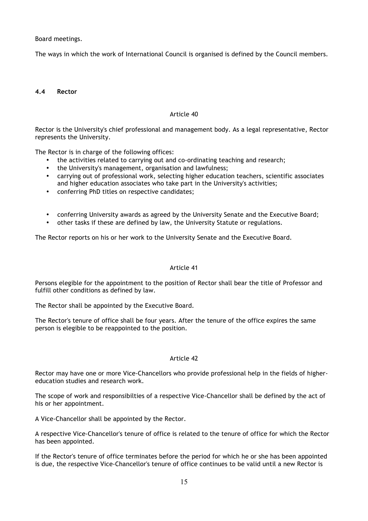Board meetings.

The ways in which the work of International Council is organised is defined by the Council members.

# **4.4 Rector**

# Article 40

Rector is the University's chief professional and management body. As a legal representative, Rector represents the University.

The Rector is in charge of the following offices:

- the activities related to carrying out and co-ordinating teaching and research;
- the University's management, organisation and lawfulness;
- carrying out of professional work, selecting higher education teachers, scientific associates and higher education associates who take part in the University's activities;
- conferring PhD titles on respective candidates;
- conferring University awards as agreed by the University Senate and the Executive Board;
- other tasks if these are defined by law, the University Statute or regulations.

The Rector reports on his or her work to the University Senate and the Executive Board.

# Article 41

Persons elegible for the appointment to the position of Rector shall bear the title of Professor and fulfill other conditions as defined by law.

The Rector shall be appointed by the Executive Board.

The Rector's tenure of office shall be four years. After the tenure of the office expires the same person is elegible to be reappointed to the position.

# Article 42

Rector may have one or more Vice-Chancellors who provide professional help in the fields of highereducation studies and research work.

The scope of work and responsibilties of a respective Vice-Chancellor shall be defined by the act of his or her appointment.

A Vice-Chancellor shall be appointed by the Rector.

A respective Vice-Chancellor's tenure of office is related to the tenure of office for which the Rector has been appointed.

If the Rector's tenure of office terminates before the period for which he or she has been appointed is due, the respective Vice-Chancellor's tenure of office continues to be valid until a new Rector is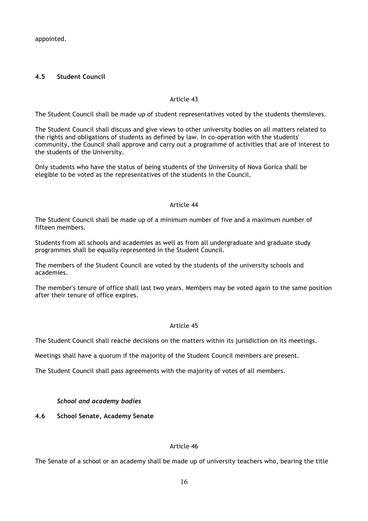appointed.

# **4.5 Student Council**

# Article 43

The Student Council shall be made up of student representatives voted by the students themsleves.

The Student Council shall discuss and give views to other university bodies on all matters related to the rights and obligations of students as defined by law. In co-operation with the students' community, the Council shall approve and carry out a programme of activities that are of interest to the students of the University.

Only students who have the status of being students of the University of Nova Gorica shall be elegible to be voted as the representatives of the students in the Council.

#### Article 44

The Student Council shall be made up of a minimum number of five and a maximum number of fifteen members.

Students from all schools and academies as well as from all undergraduate and graduate study programmes shall be equally represented in the Student Council.

The members of the Student Council are voted by the students of the university schools and academies.

The member's tenure of office shall last two years. Members may be voted again to the same position after their tenure of office expires.

# Article 45

The Student Council shall reache decisions on the matters within its jurisdiction on its meetings.

Meetings shall have a quorum if the majority of the Student Council members are present.

The Student Council shall pass agreements with the majority of votes of all members.

# *School and academy bodies*

# **4.6 School Senate, Academy Senate**

# Article 46

The Senate of a school or an academy shall be made up of university teachers who, bearing the title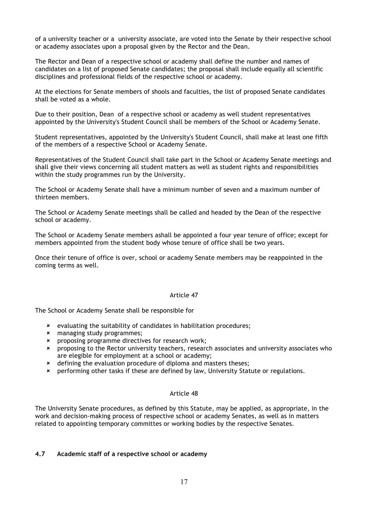of a university teacher or a university associate, are voted into the Senate by their respective school or academy associates upon a proposal given by the Rector and the Dean.

The Rector and Dean of a respective school or academy shall define the number and names of candidates on a list of proposed Senate candidates; the proposal shall include equally all scientific disciplines and professional fields of the respective school or academy.

At the elections for Senate members of shools and faculties, the list of proposed Senate candidates shall be voted as a whole.

Due to their position, Dean of a respective school or academy as well student representatives appointed by the University's Student Council shall be members of the School or Academy Senate.

Student representatives, appointed by the University's Student Council, shall make at least one fifth of the members of a respective School or Academy Senate.

Representatives of the Student Council shall take part in the School or Academy Senate meetings and shall give their views concerning all student matters as well as student rights and responsibilities within the study programmes run by the University.

The School or Academy Senate shall have a minimum number of seven and a maximum number of thirteen members.

The School or Academy Senate meetings shall be called and headed by the Dean of the respective school or academy.

The School or Academy Senate members ashall be appointed a four year tenure of office; except for members appointed from the student body whose tenure of office shall be two years.

Once their tenure of office is over, school or academy Senate members may be reappointed in the coming terms as well.

#### Article 47

The School or Academy Senate shall be responsible for

- û evaluating the suitability of candidates in habilitation procedures;
- û managing study programmes;
- û proposing programme directives for research work;
- û proposing to the Rector university teachers, research associates and university associates who are elegible for employment at a school or academy;
- \* defining the evaluation procedure of diploma and masters theses;
- û performing other tasks if these are defined by law, University Statute or regulations.

#### Article 48

The University Senate procedures, as defined by this Statute, may be applied, as appropriate, in the work and decision-making process of respective school or academy Senates, as well as in matters related to appointing temporary committes or working bodies by the respective Senates.

# **4.7 Academic staff of a respective school or academy**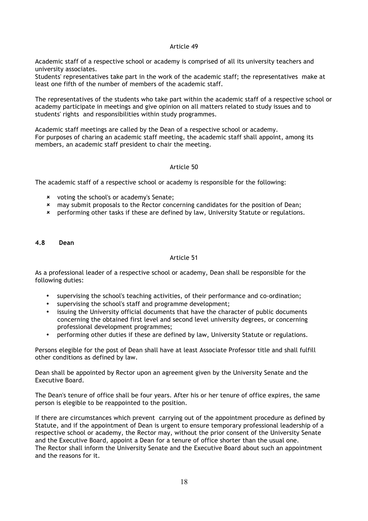### Article 49

Academic staff of a respective school or academy is comprised of all its university teachers and university associates.

Students' representatives take part in the work of the academic staff; the representatives make at least one fifth of the number of members of the academic staff.

The representatives of the students who take part within the academic staff of a respective school or academy participate in meetings and give opinion on all matters related to study issues and to students' rights and responsibilities within study programmes.

Academic staff meetings are called by the Dean of a respective school or academy. For purposes of charing an academic staff meeting, the academic staff shall appoint, among its members, an academic staff president to chair the meeting.

# Article 50

The academic staff of a respective school or academy is responsible for the following:

- **\*** voting the school's or academy's Senate;
- û may submit proposals to the Rector concerning candidates for the position of Dean;
- \* performing other tasks if these are defined by law, University Statute or regulations.

#### **4.8 Dean**

# Article 51

As a professional leader of a respective school or academy, Dean shall be responsible for the following duties:

- supervising the school's teaching activities, of their performance and co-ordination;
- supervising the school's staff and programme development;
- issuing the University official documents that have the character of public documents concerning the obtained first level and second level university degrees, or concerning professional development programmes;
- performing other duties if these are defined by law, University Statute or regulations.

Persons elegible for the post of Dean shall have at least Associate Professor title and shall fulfill other conditions as defined by law.

Dean shall be appointed by Rector upon an agreement given by the University Senate and the Executive Board.

The Dean's tenure of office shall be four years. After his or her tenure of office expires, the same person is elegible to be reappointed to the position.

If there are circumstances which prevent carrying out of the appointment procedure as defined by Statute, and if the appointment of Dean is urgent to ensure temporary professional leadership of a respective school or academy, the Rector may, without the prior consent of the University Senate and the Executive Board, appoint a Dean for a tenure of office shorter than the usual one. The Rector shall inform the University Senate and the Executive Board about such an appointment and the reasons for it.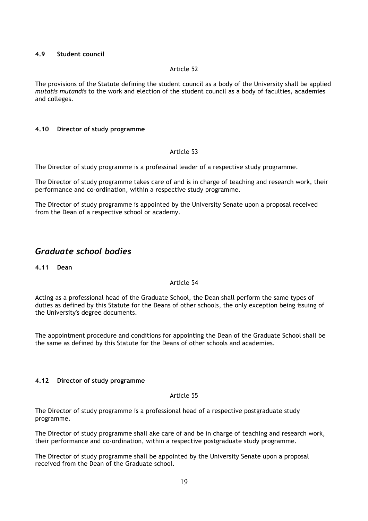### **4.9 Student council**

#### Article 52

The provisions of the Statute defining the student council as a body of the University shall be applied *mutatis mutandis* to the work and election of the student council as a body of faculties, academies and colleges.

#### **4.10 Director of study programme**

#### Article 53

The Director of study programme is a professinal leader of a respective study programme.

The Director of study programme takes care of and is in charge of teaching and research work, their performance and co-ordination, within a respective study programme.

The Director of study programme is appointed by the University Senate upon a proposal received from the Dean of a respective school or academy.

# *Graduate school bodies*

**4.11 Dean**

# Article 54

Acting as a professional head of the Graduate School, the Dean shall perform the same types of duties as defined by this Statute for the Deans of other schools, the only exception being issuing of the University's degree documents.

The appointment procedure and conditions for appointing the Dean of the Graduate School shall be the same as defined by this Statute for the Deans of other schools and academies.

#### **4.12 Director of study programme**

#### Article 55

The Director of study programme is a professional head of a respective postgraduate study programme.

The Director of study programme shall ake care of and be in charge of teaching and research work, their performance and co-ordination, within a respective postgraduate study programme.

The Director of study programme shall be appointed by the University Senate upon a proposal received from the Dean of the Graduate school.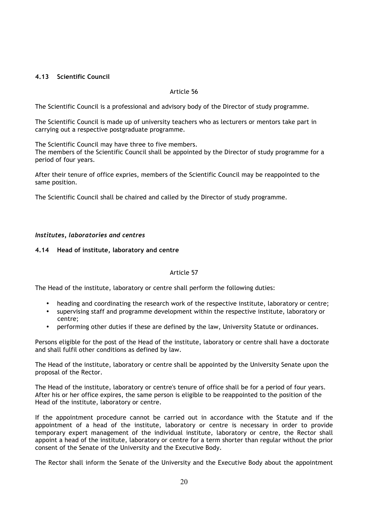# **4.13 Scientific Council**

# Article 56

The Scientific Council is a professional and advisory body of the Director of study programme.

The Scientific Council is made up of university teachers who as lecturers or mentors take part in carrying out a respective postgraduate programme.

The Scientific Council may have three to five members.

The members of the Scientific Council shall be appointed by the Director of study programme for a period of four years.

After their tenure of office expries, members of the Scientific Council may be reappointed to the same position.

The Scientific Council shall be chaired and called by the Director of study programme.

# *Institutes, laboratories and centres*

# **4.14 Head of institute, laboratory and centre**

# Article 57

The Head of the institute, laboratory or centre shall perform the following duties:

- heading and coordinating the research work of the respective institute, laboratory or centre;
- supervising staff and programme development within the respective institute, laboratory or centre;
- performing other duties if these are defined by the law, University Statute or ordinances.

Persons eligible for the post of the Head of the institute, laboratory or centre shall have a doctorate and shall fulfil other conditions as defined by law.

The Head of the institute, laboratory or centre shall be appointed by the University Senate upon the proposal of the Rector.

The Head of the institute, laboratory or centre's tenure of office shall be for a period of four years. After his or her office expires, the same person is eligible to be reappointed to the position of the Head of the institute, laboratory or centre.

If the appointment procedure cannot be carried out in accordance with the Statute and if the appointment of a head of the institute, laboratory or centre is necessary in order to provide temporary expert management of the individual institute, laboratory or centre, the Rector shall appoint a head of the institute, laboratory or centre for a term shorter than regular without the prior consent of the Senate of the University and the Executive Body.

The Rector shall inform the Senate of the University and the Executive Body about the appointment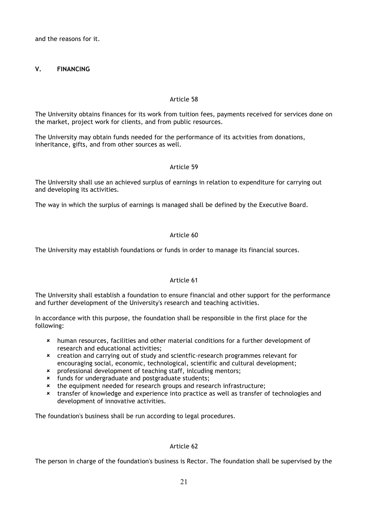and the reasons for it.

# **V. FINANCING**

# Article 58

The University obtains finances for its work from tuition fees, payments received for services done on the market, project work for clients, and from public resources.

The University may obtain funds needed for the performance of its actvities from donations, inheritance, gifts, and from other sources as well.

# Article 59

The University shall use an achieved surplus of earnings in relation to expenditure for carrying out and developing its activities.

The way in which the surplus of earnings is managed shall be defined by the Executive Board.

# Article 60

The University may establish foundations or funds in order to manage its financial sources.

# Article 61

The University shall establish a foundation to ensure financial and other support for the performance and further development of the University's research and teaching activities.

In accordance with this purpose, the foundation shall be responsible in the first place for the following:

- û human resources, facilities and other material conditions for a further development of research and educational activities;
- û creation and carrying out of study and scientfic-research programmes relevant for encouraging social, economic, technological, scientific and cultural development;
- û professional development of teaching staff, inlcuding mentors;
- **\*** funds for undergraduate and postgraduate students;<br>**\*** the equipment needed for research groups and resea
- the equipment needed for research groups and research infrastructure;
- \* transfer of knowledge and experience into practice as well as transfer of technologies and development of innovative activities.

The foundation's business shall be run according to legal procedures.

# Article 62

The person in charge of the foundation's business is Rector. The foundation shall be supervised by the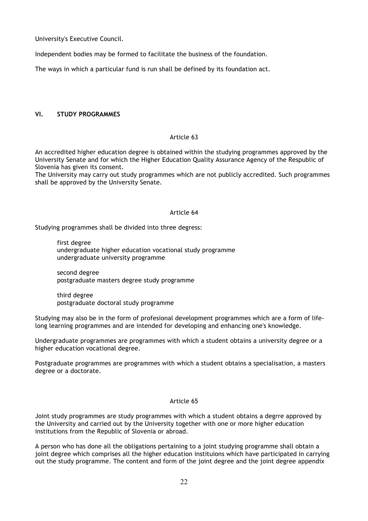University's Executive Council.

Independent bodies may be formed to facilitate the business of the foundation.

The ways in which a particular fund is run shall be defined by its foundation act.

# **VI. STUDY PROGRAMMES**

# Article 63

An accredited higher education degree is obtained within the studying programmes approved by the University Senate and for which the Higher Education Quality Assurance Agency of the Respublic of Slovenia has given its consent.

The University may carry out study programmes which are not publicly accredited. Such programmes shall be approved by the University Senate.

#### Article 64

Studying programmes shall be divided into three degress:

first degree undergraduate higher education vocational study programme undergraduate university programme

second degree postgraduate masters degree study programme

third degree postgraduate doctoral study programme

Studying may also be in the form of profesional development programmes which are a form of lifelong learning programmes and are intended for developing and enhancing one's knowledge.

Undergraduate programmes are programmes with which a student obtains a university degree or a higher education vocational degree.

Postgraduate programmes are programmes with which a student obtains a specialisation, a masters degree or a doctorate.

# Article 65

Joint study programmes are study programmes with which a student obtains a degrre approved by the University and carried out by the University together with one or more higher education institutions from the Republic of Slovenia or abroad.

A person who has done all the obligations pertaining to a joint studying programme shall obtain a joint degree which comprises all the higher education instituions which have participated in carrying out the study programme. The content and form of the joint degree and the joint degree appendix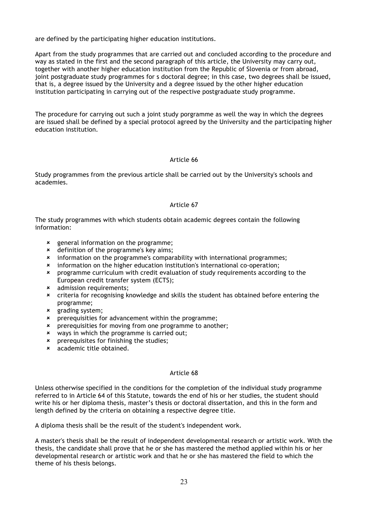are defined by the participating higher education institutions.

Apart from the study programmes that are carried out and concluded according to the procedure and way as stated in the first and the second paragraph of this article, the University may carry out, together with another higher education institution from the Republic of Slovenia or from abroad, joint postgraduate study programmes for s doctoral degree; in this case, two degrees shall be issued, that is, a degree issued by the University and a degree issued by the other higher education institution participating in carrying out of the respective postgraduate study programme.

The procedure for carrying out such a joint study porgramme as well the way in which the degrees are issued shall be defined by a special protocol agreed by the University and the participating higher education institution.

# Article 66

Study programmes from the previous article shall be carried out by the University's schools and academies.

#### Article 67

The study programmes with which students obtain academic degrees contain the following information:

- **x** general information on the programme;
- **\*** definition of the programme's key aims;
- û information on the programme's comparability with international programmes;
- û information on the higher education institution's international co-operation;
- û programme curriculum with credit evaluation of study requirements according to the European credit transfer system (ECTS);
- **\*** admission requirements;
- \* criteria for recognising knowledge and skills the student has obtained before entering the programme;
- $x$  grading system;
- û prerequisities for advancement within the programme;
- û prerequisities for moving from one programme to another;
- **\*** ways in which the programme is carried out;
- û prerequisites for finishing the studies;
- **\*** academic title obtained.

#### Article 68

Unless otherwise specified in the conditions for the completion of the individual study programme referred to in Article 64 of this Statute, towards the end of his or her studies, the student should write his or her diploma thesis, master's thesis or doctoral dissertation, and this in the form and length defined by the criteria on obtaining a respective degree title.

A diploma thesis shall be the result of the student's independent work.

A master's thesis shall be the result of independent developmental research or artistic work. With the thesis, the candidate shall prove that he or she has mastered the method applied within his or her developmental research or artistic work and that he or she has mastered the field to which the theme of his thesis belongs.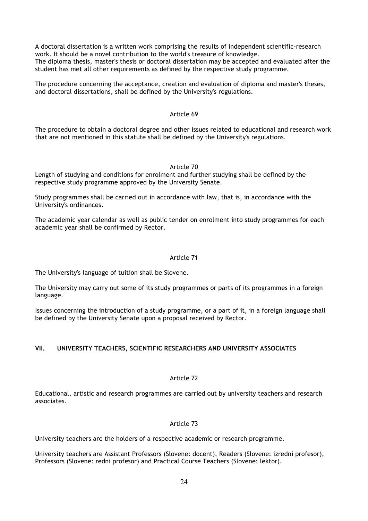A doctoral dissertation is a written work comprising the results of independent scientific-research work. It should be a novel contribution to the world's treasure of knowledge. The diploma thesis, master's thesis or doctoral dissertation may be accepted and evaluated after the student has met all other requirements as defined by the respective study programme.

The procedure concerning the acceptance, creation and evaluation of diploma and master's theses, and doctoral dissertations, shall be defined by the University's regulations.

#### Article 69

The procedure to obtain a doctoral degree and other issues related to educational and research work that are not mentioned in this statute shall be defined by the University's regulations.

#### Article 70

Length of studying and conditions for enrolment and further studying shall be defined by the respective study programme approved by the University Senate.

Study programmes shall be carried out in accordance with law, that is, in accordance with the University's ordinances.

The academic year calendar as well as public tender on enrolment into study programmes for each academic year shall be confirmed by Rector.

### Article 71

The University's language of tuition shall be Slovene.

The University may carry out some of its study programmes or parts of its programmes in a foreign language.

Issues concerning the introduction of a study programme, or a part of it, in a foreign language shall be defined by the University Senate upon a proposal received by Rector.

# **VII. UNIVERSITY TEACHERS, SCIENTIFIC RESEARCHERS AND UNIVERSITY ASSOCIATES**

# Article 72

Educational, artistic and research programmes are carried out by university teachers and research associates.

# Article 73

University teachers are the holders of a respective academic or research programme.

University teachers are Assistant Professors (Slovene: docent), Readers (Slovene: izredni profesor), Professors (Slovene: redni profesor) and Practical Course Teachers (Slovene: lektor).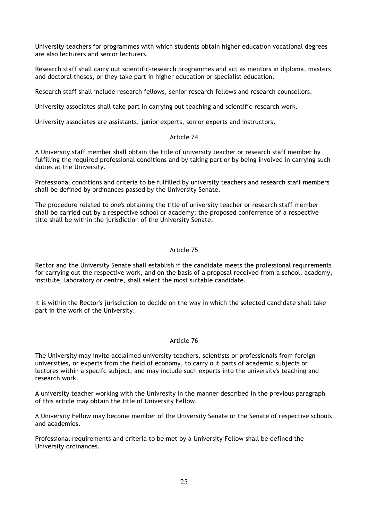University teachers for programmes with which students obtain higher education vocational degrees are also lecturers and senior lecturers.

Research staff shall carry out scientific-research programmes and act as mentors in diploma, masters and doctoral theses, or they take part in higher education or specialist education.

Research staff shall include research fellows, senior research fellows and research counsellors.

University associates shall take part in carrying out teaching and scientific-research work.

University associates are assistants, junior experts, senior experts and instructors.

#### Article 74

A University staff member shall obtain the title of university teacher or research staff member by fulfilling the required professional conditions and by taking part or by being involved in carrying such duties at the University.

Professional conditions and criteria to be fulfilled by university teachers and research staff members shall be defined by ordinances passed by the University Senate.

The procedure related to one's obtaining the title of university teacher or research staff member shall be carried out by a respective school or academy; the proposed conferrence of a respective title shall be within the jurisdiction of the University Senate.

#### Article 75

Rector and the University Senate shall establish if the candidate meets the professional requirements for carrying out the respective work, and on the basis of a proposal received from a school, academy, institute, laboratory or centre, shall select the most suitable candidate.

It is within the Rector's jurisdiction to decide on the way in which the selected candidate shall take part in the work of the University.

# Article 76

The University may invite acclaimed university teachers, scientists or professionals from foreign universities, or experts from the field of economy, to carry out parts of academic subjects or lectures within a specifc subject, and may include such experts into the university's teaching and research work.

A university teacher working with the Univresity in the manner described in the previous paragraph of this article may obtain the title of University Fellow.

A University Fellow may become member of the University Senate or the Senate of respective schools and academies.

Professional requirements and criteria to be met by a University Fellow shall be defined the University ordinances.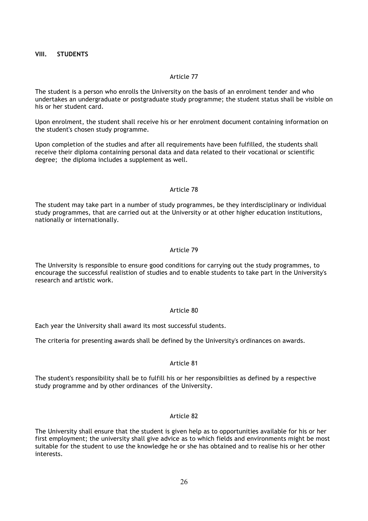# **VIII. STUDENTS**

#### Article 77

The student is a person who enrolls the University on the basis of an enrolment tender and who undertakes an undergraduate or postgraduate study programme; the student status shall be visible on his or her student card.

Upon enrolment, the student shall receive his or her enrolment document containing information on the student's chosen study programme.

Upon completion of the studies and after all requirements have been fulfilled, the students shall receive their diploma containing personal data and data related to their vocational or scientific degree; the diploma includes a supplement as well.

#### Article 78

The student may take part in a number of study programmes, be they interdisciplinary or individual study programmes, that are carried out at the University or at other higher education institutions, nationally or internationally.

#### Article 79

The University is responsible to ensure good conditions for carrying out the study programmes, to encourage the successful realistion of studies and to enable students to take part in the University's research and artistic work.

#### Article 80

Each year the University shall award its most successful students.

The criteria for presenting awards shall be defined by the University's ordinances on awards.

### Article 81

The student's responsibility shall be to fulfill his or her responsibilties as defined by a respective study programme and by other ordinances of the University.

# Article 82

The University shall ensure that the student is given help as to opportunities available for his or her first employment; the university shall give advice as to which fields and environments might be most suitable for the student to use the knowledge he or she has obtained and to realise his or her other interests.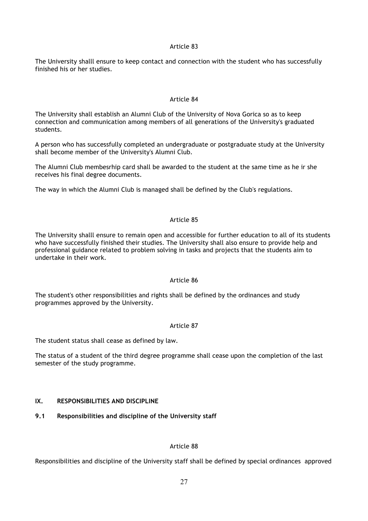### Article 83

The University shalll ensure to keep contact and connection with the student who has successfully finished his or her studies.

# Article 84

The University shall establish an Alumni Club of the University of Nova Gorica so as to keep connection and communication among members of all generations of the University's graduated students.

A person who has successfully completed an undergraduate or postgraduate study at the University shall become member of the University's Alumni Club.

The Alumni Club membesrhip card shall be awarded to the student at the same time as he ir she receives his final degree documents.

The way in which the Alumni Club is managed shall be defined by the Club's regulations.

# Article 85

The University shalll ensure to remain open and accessible for further education to all of its students who have successfully finished their studies. The University shall also ensure to provide help and professional guidance related to problem solving in tasks and projects that the students aim to undertake in their work.

# Article 86

The student's other responsibilities and rights shall be defined by the ordinances and study programmes approved by the University.

# Article 87

The student status shall cease as defined by law.

The status of a student of the third degree programme shall cease upon the completion of the last semester of the study programme.

# **IX. RESPONSIBILITIES AND DISCIPLINE**

# **9.1 Responsibilities and discipline of the University staff**

# Article 88

Responsibilities and discipline of the University staff shall be defined by special ordinances approved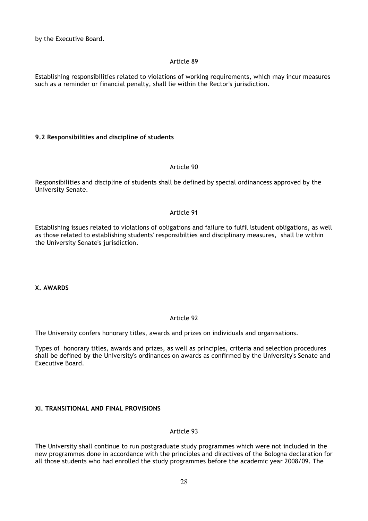by the Executive Board.

# Article 89

Establishing responsibilities related to violations of working requirements, which may incur measures such as a reminder or financial penalty, shall lie within the Rector's jurisdiction.

# **9.2 Responsibilities and discipline of students**

# Article 90

Responsibilities and discipline of students shall be defined by special ordinancess approved by the University Senate.

# Article 91

Establishing issues related to violations of obligations and failure to fulfil lstudent obligations, as well as those related to establishing students' responsibilties and disciplinary measures, shall lie within the University Senate's jurisdiction.

# **X. AWARDS**

# Article 92

The University confers honorary titles, awards and prizes on individuals and organisations.

Types of honorary titles, awards and prizes, as well as principles, criteria and selection procedures shall be defined by the University's ordinances on awards as confirmed by the University's Senate and Executive Board.

# **XI. TRANSITIONAL AND FINAL PROVISIONS**

# Article 93

The University shall continue to run postgraduate study programmes which were not included in the new programmes done in accordance with the principles and directives of the Bologna declaration for all those students who had enrolled the study programmes before the academic year 2008/09. The